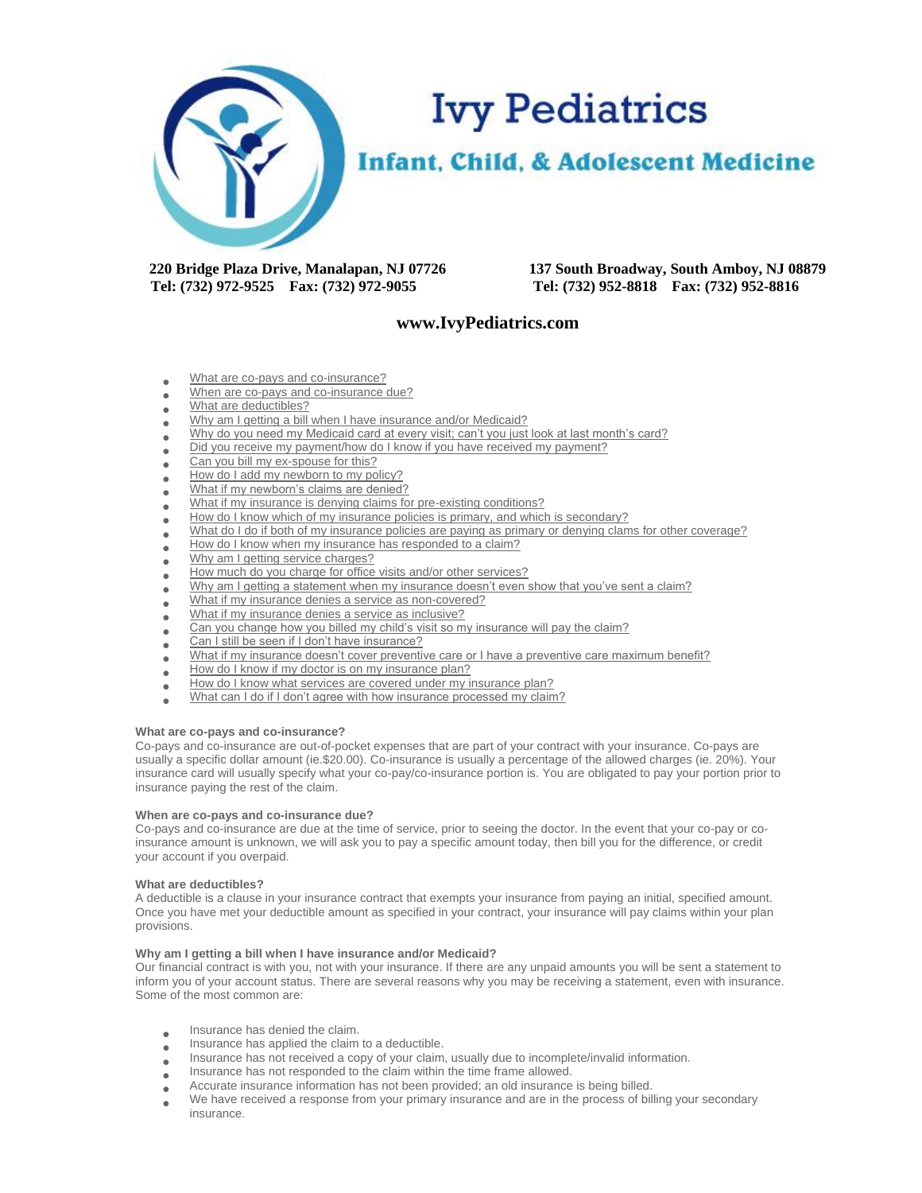

 **Tel: (732) 972-9525 Fax: (732) 972-9055 Tel: (732) 952-8818 Fax: (732) 952-8816**

**220 Bridge Plaza Drive, Manalapan, NJ 07726 137 South Broadway, South Amboy, NJ 08879**

# **www.IvyPediatrics.com**

- [What are co-pays and co-insurance?](http://www.uvpediatrics.com/insurance-billing/nuances-insurance.php#1#1)
- [When are co-pays and co-insurance due?](http://www.uvpediatrics.com/insurance-billing/nuances-insurance.php#2#2)
- [What are deductibles?](http://www.uvpediatrics.com/insurance-billing/nuances-insurance.php#3#3)
- [Why am I getting a bill when I have insurance](http://www.uvpediatrics.com/insurance-billing/nuances-insurance.php#5#5) and/or Medicaid?
- [Why do you need my Medicaid card at every visit; can't you just look at last month's card?](http://www.uvpediatrics.com/insurance-billing/nuances-insurance.php#6#6)
- $\bullet$ [Did you receive my payment/how do I know if you have received my payment?](http://www.uvpediatrics.com/insurance-billing/nuances-insurance.php#7#7)
- $\bullet$ [Can you bill my ex-spouse for this?](http://www.uvpediatrics.com/insurance-billing/nuances-insurance.php#8#8)
- $\blacksquare$ [How do I add my newborn to my policy?](http://www.uvpediatrics.com/insurance-billing/nuances-insurance.php#9#9)
- [What if my newborn's claims are denied?](http://www.uvpediatrics.com/insurance-billing/nuances-insurance.php#10#10)
- [What if my insurance is denying claims for pre-existing conditions?](http://www.uvpediatrics.com/insurance-billing/nuances-insurance.php#11#11)
- $\bullet$ [How do I know which of my insurance policies is primary, and which is secondary?](http://www.uvpediatrics.com/insurance-billing/nuances-insurance.php#12#12)
- [What do I do if both of my insurance policies are paying as primary or denying clams for other coverage?](http://www.uvpediatrics.com/insurance-billing/nuances-insurance.php#13#13)
- $\bullet$ [How do I know when my insurance has responded to a claim?](http://www.uvpediatrics.com/insurance-billing/nuances-insurance.php#14#14)
- [Why am I getting service charges?](http://www.uvpediatrics.com/insurance-billing/nuances-insurance.php#15#15)
- $\bullet$ [How much do you charge for office visits and/or other services?](http://www.uvpediatrics.com/insurance-billing/nuances-insurance.php#17#17)
- [Why am I getting a statement when my insurance doesn't even show that you've sent a claim?](http://www.uvpediatrics.com/insurance-billing/nuances-insurance.php#18#18)
- 
- What if my [insurance denies a service as non-covered?](http://www.uvpediatrics.com/insurance-billing/nuances-insurance.php#19#19)<br>What if my insurance denies a service as inclusive? [What if my insurance denies a service as inclusive?](http://www.uvpediatrics.com/insurance-billing/nuances-insurance.php#20#20)
- $\blacksquare$ [Can you change how you billed my child's visit so my insurance will pay the claim?](http://www.uvpediatrics.com/insurance-billing/nuances-insurance.php#21#21)
- $\bullet$ [Can I still be seen if I don't have insurance?](http://www.uvpediatrics.com/insurance-billing/nuances-insurance.php#22#22)
- [What if my insurance doesn't cover preventive care or I have a preventive care maximum benefit?](http://www.uvpediatrics.com/insurance-billing/nuances-insurance.php#23#23)
- [How do I know if my doctor is on my insurance plan?](http://www.uvpediatrics.com/insurance-billing/nuances-insurance.php#24#24)
- $\bullet$  $\blacksquare$ [How do I know what services are covered under my insurance plan?](http://www.uvpediatrics.com/insurance-billing/nuances-insurance.php#25#25)
- 
- [What can I do if I don't agree with how insurance processed my claim?](http://www.uvpediatrics.com/insurance-billing/nuances-insurance.php#26#26)

## **What are co-pays and co-insurance?**

Co-pays and co-insurance are out-of-pocket expenses that are part of your contract with your insurance. Co-pays are usually a specific dollar amount (ie.\$20.00). Co-insurance is usually a percentage of the allowed charges (ie. 20%). Your insurance card will usually specify what your co-pay/co-insurance portion is. You are obligated to pay your portion prior to insurance paying the rest of the claim.

#### **When are co-pays and co-insurance due?**

Co-pays and co-insurance are due at the time of service, prior to seeing the doctor. In the event that your co-pay or coinsurance amount is unknown, we will ask you to pay a specific amount today, then bill you for the difference, or credit your account if you overpaid.

#### **What are deductibles?**

A deductible is a clause in your insurance contract that exempts your insurance from paying an initial, specified amount. Once you have met your deductible amount as specified in your contract, your insurance will pay claims within your plan provisions.

# **Why am I getting a bill when I have insurance and/or Medicaid?**

Our financial contract is with you, not with your insurance. If there are any unpaid amounts you will be sent a statement to inform you of your account status. There are several reasons why you may be receiving a statement, even with insurance. Some of the most common are:

- $\bullet$ Insurance has denied the claim.
- $\blacksquare$ Insurance has applied the claim to a deductible.
- $\bullet$ Insurance has not received a copy of your claim, usually due to incomplete/invalid information.
- $\blacksquare$ Insurance has not responded to the claim within the time frame allowed.
- $\bullet$ Accurate insurance information has not been provided; an old insurance is being billed.
- We have received a response from your primary insurance and are in the process of billing your secondary insurance.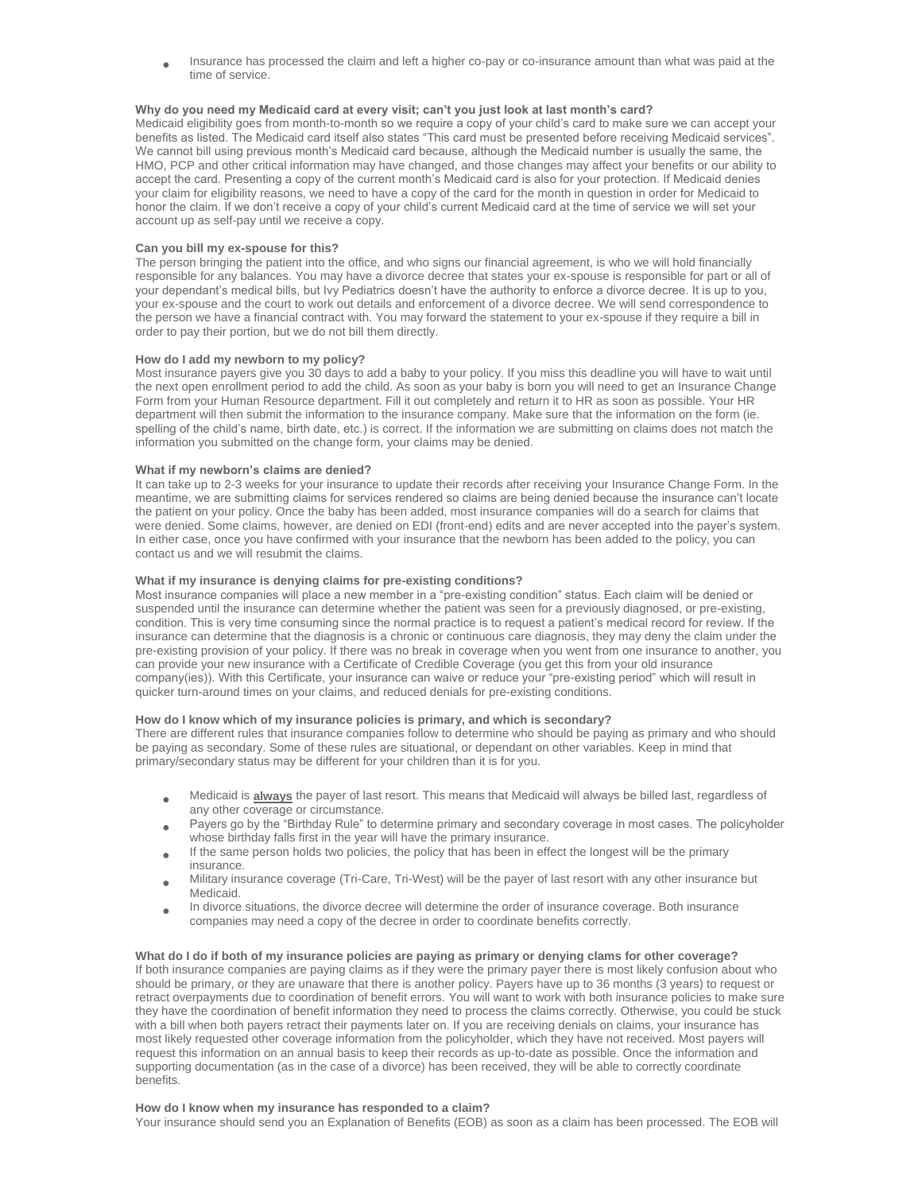$\blacksquare$ Insurance has processed the claim and left a higher co-pay or co-insurance amount than what was paid at the time of service.

# **Why do you need my Medicaid card at every visit; can't you just look at last month's card?**

Medicaid eligibility goes from month-to-month so we require a copy of your child's card to make sure we can accept your benefits as listed. The Medicaid card itself also states "This card must be presented before receiving Medicaid services". We cannot bill using previous month's Medicaid card because, although the Medicaid number is usually the same, the HMO, PCP and other critical information may have changed, and those changes may affect your benefits or our ability to accept the card. Presenting a copy of the current month's Medicaid card is also for your protection. If Medicaid denies your claim for eligibility reasons, we need to have a copy of the card for the month in question in order for Medicaid to honor the claim. If we don't receive a copy of your child's current Medicaid card at the time of service we will set your account up as self-pay until we receive a copy.

## **Can you bill my ex-spouse for this?**

The person bringing the patient into the office, and who signs our financial agreement, is who we will hold financially responsible for any balances. You may have a divorce decree that states your ex-spouse is responsible for part or all of your dependant's medical bills, but Ivy Pediatrics doesn't have the authority to enforce a divorce decree. It is up to you, your ex-spouse and the court to work out details and enforcement of a divorce decree. We will send correspondence to the person we have a financial contract with. You may forward the statement to your ex-spouse if they require a bill in order to pay their portion, but we do not bill them directly.

## **How do I add my newborn to my policy?**

Most insurance payers give you 30 days to add a baby to your policy. If you miss this deadline you will have to wait until the next open enrollment period to add the child. As soon as your baby is born you will need to get an Insurance Change Form from your Human Resource department. Fill it out completely and return it to HR as soon as possible. Your HR department will then submit the information to the insurance company. Make sure that the information on the form (ie. spelling of the child's name, birth date, etc.) is correct. If the information we are submitting on claims does not match the information you submitted on the change form, your claims may be denied.

# **What if my newborn's claims are denied?**

It can take up to 2-3 weeks for your insurance to update their records after receiving your Insurance Change Form. In the meantime, we are submitting claims for services rendered so claims are being denied because the insurance can't locate the patient on your policy. Once the baby has been added, most insurance companies will do a search for claims that were denied. Some claims, however, are denied on EDI (front-end) edits and are never accepted into the payer's system. In either case, once you have confirmed with your insurance that the newborn has been added to the policy, you can contact us and we will resubmit the claims.

# **What if my insurance is denying claims for pre-existing conditions?**

Most insurance companies will place a new member in a "pre-existing condition" status. Each claim will be denied or suspended until the insurance can determine whether the patient was seen for a previously diagnosed, or pre-existing, condition. This is very time consuming since the normal practice is to request a patient's medical record for review. If the insurance can determine that the diagnosis is a chronic or continuous care diagnosis, they may deny the claim under the pre-existing provision of your policy. If there was no break in coverage when you went from one insurance to another, you can provide your new insurance with a Certificate of Credible Coverage (you get this from your old insurance company(ies)). With this Certificate, your insurance can waive or reduce your "pre-existing period" which will result in quicker turn-around times on your claims, and reduced denials for pre-existing conditions.

# **How do I know which of my insurance policies is primary, and which is secondary?**

There are different rules that insurance companies follow to determine who should be paying as primary and who should be paying as secondary. Some of these rules are situational, or dependant on other variables. Keep in mind that primary/secondary status may be different for your children than it is for you.

- Medicaid is **always** the payer of last resort. This means that Medicaid will always be billed last, regardless of any other coverage or circumstance.
- $\bullet$ Payers go by the "Birthday Rule" to determine primary and secondary coverage in most cases. The policyholder whose birthday falls first in the year will have the primary insurance.
- $\bullet$ If the same person holds two policies, the policy that has been in effect the longest will be the primary insurance.
- Military insurance coverage (Tri-Care, Tri-West) will be the payer of last resort with any other insurance but Medicaid.
- $\bullet$ In divorce situations, the divorce decree will determine the order of insurance coverage. Both insurance companies may need a copy of the decree in order to coordinate benefits correctly.

# **What do I do if both of my insurance policies are paying as primary or denying clams for other coverage?**

If both insurance companies are paying claims as if they were the primary payer there is most likely confusion about who should be primary, or they are unaware that there is another policy. Payers have up to 36 months (3 years) to request or retract overpayments due to coordination of benefit errors. You will want to work with both insurance policies to make sure they have the coordination of benefit information they need to process the claims correctly. Otherwise, you could be stuck with a bill when both payers retract their payments later on. If you are receiving denials on claims, your insurance has most likely requested other coverage information from the policyholder, which they have not received. Most payers will request this information on an annual basis to keep their records as up-to-date as possible. Once the information and supporting documentation (as in the case of a divorce) has been received, they will be able to correctly coordinate benefits.

#### **How do I know when my insurance has responded to a claim?**

Your insurance should send you an Explanation of Benefits (EOB) as soon as a claim has been processed. The EOB will